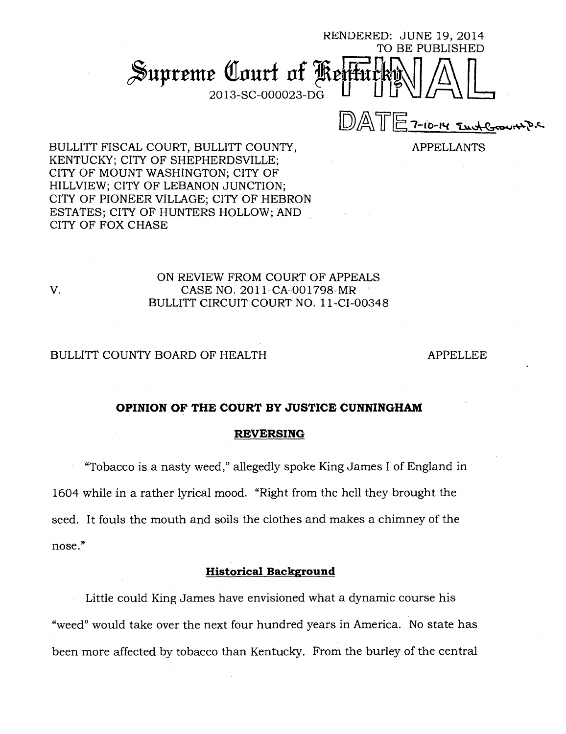RENDERED: JUNE 19, 2014 TO BE PUBLISHED Supreme Court of P 2013-SC-000023-DG  $D$  $ATE$   $7$ -10-14  $2$ mate

APPELLANTS

BULLITT FISCAL COURT, BULLITT COUNTY, KENTUCKY; CITY OF SHEPHERDSVILLE; CITY OF MOUNT WASHINGTON; CITY OF HILLVIEW; CITY OF LEBANON JUNCTION; CITY OF PIONEER VILLAGE; CITY OF HEBRON ESTATES; CITY OF HUNTERS HOLLOW; AND CITY OF FOX CHASE

## ON REVIEW FROM COURT OF APPEALS V. CASE NO. 2011-CA-001798-MR BULLITT CIRCUIT COURT NO. 11-CI-00348

### BULLITT COUNTY BOARD OF HEALTH APPELLEE

#### **OPINION OF THE COURT BY JUSTICE CUNNINGHAM**

### **REVERSING**

"Tobacco is a nasty weed," allegedly spoke King James I of England in 1604 while in a rather lyrical mood. "Right from the hell they brought the seed. It fouls the mouth and soils the clothes and makes a chimney of the nose."

## **Historical Background**

Little could King James have envisioned what a dynamic course his "weed" would take over the next four hundred years in America. No state has been more affected by tobacco than Kentucky. From the burley of the central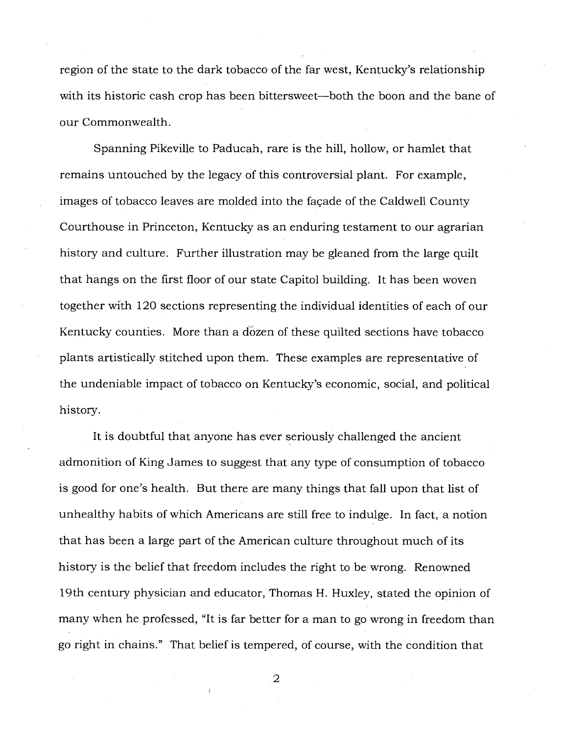region of the state to the dark tobacco of the far west, Kentucky's relationship with its historic cash crop has been bittersweet—both the boon and the bane of our Commonwealth.

Spanning Pikeville to Paducah, rare is the hill, hollow, or hamlet that remains untouched by the legacy of this controversial plant. For example, images of tobacco leaves are molded into the facade of the Caldwell County Courthouse in Princeton, Kentucky as an enduring testament to our agrarian history and culture. Further illustration may be gleaned from the large quilt that hangs on the first floor of our state Capitol building. It has been woven together with 120 sections representing the individual identities of each of our Kentucky counties. More than a dozen of these quilted sections have tobacco plants artistically stitched upon them. These examples are representative of the undeniable impact of tobacco on Kentucky's economic, social, and political history.

It is doubtful that anyone has ever seriously challenged the ancient admonition of King James to suggest that any type of consumption of tobacco is good for one's health. But there are many things that fall upon that list of unhealthy habits of which Americans are still free to indulge. In fact, a notion that has been a large part of the American culture throughout much of its history is the belief that freedom includes the right to be wrong. Renowned 19th century physician and educator, Thomas H. Huxley, stated the opinion of many when he professed, "It is far better for a man to go wrong in freedom than go right in chains." That belief is tempered, of course, with the condition that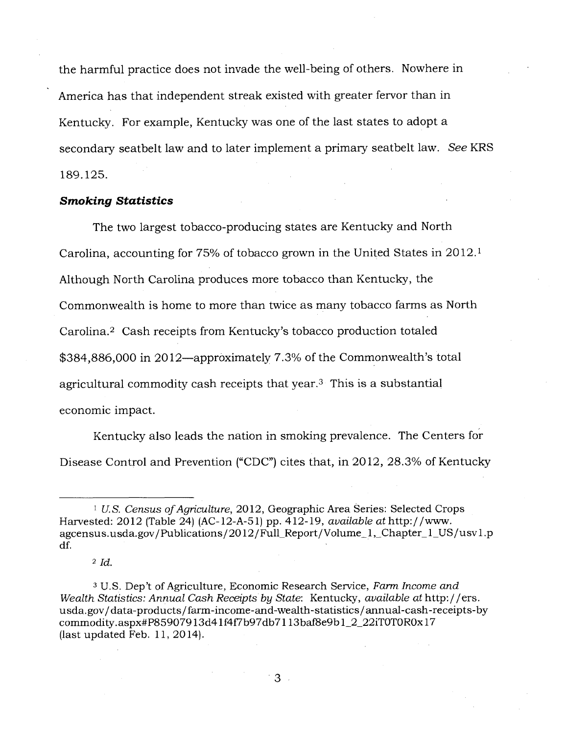the harmful practice does not invade the well-being of others. Nowhere in America has that independent streak existed with greater fervor than in Kentucky. For example, Kentucky was one of the last states to adopt a secondary seatbelt law and to later implement a primary seatbelt law. *See* KRS 189.125.

#### *Smoking Statistics*

The two largest tobacco-producing states are Kentucky and North Carolina, accounting for 75% of tobacco grown in the United States in 2012. <sup>1</sup> Although North Carolina produces more tobacco than Kentucky, the Commonwealth is home to more than twice as many tobacco farms as North Carolina.<sup>2</sup> Cash receipts from Kentucky's tobacco production totaled \$384,886,000 in 2012—approximately 7.3% of the Commonwealth's total agricultural commodity cash receipts that year.<sup>3</sup> This is a substantial economic impact.

Kentucky also leads the nation in smoking prevalence. The Centers for Disease Control and Prevention ("CDC") cites that, in 2012, 28.3% of Kentucky

<sup>2</sup>*Id.* 

*U.S. Census of Agriculture,* 2012, Geographic Area Series: Selected Crops Harvested: 2012 (Table 24) (AC-12-A-51) pp. 412-19, *available at* http://www. agcensus.usda.gov/ Publications / 2012 / Full\_Report/Volume\_1,\_Chapter\_1\_US / usv1.p df.

<sup>3</sup>U.S. Dep't of Agriculture, Economic Research Service, *Farm Income and Wealth Statistics: Annual Cash Receipts by State: Kentucky, <i>available at http://ers.* usda.gov/data-products/farm-income-and-wealth-statistics/annual-cash-receipts-by commodity. aspx#P85907913d41f4f7b97db7113baf8e9b1\_2\_22iTOTOR0x17 (last updated Feb. 11, 2014).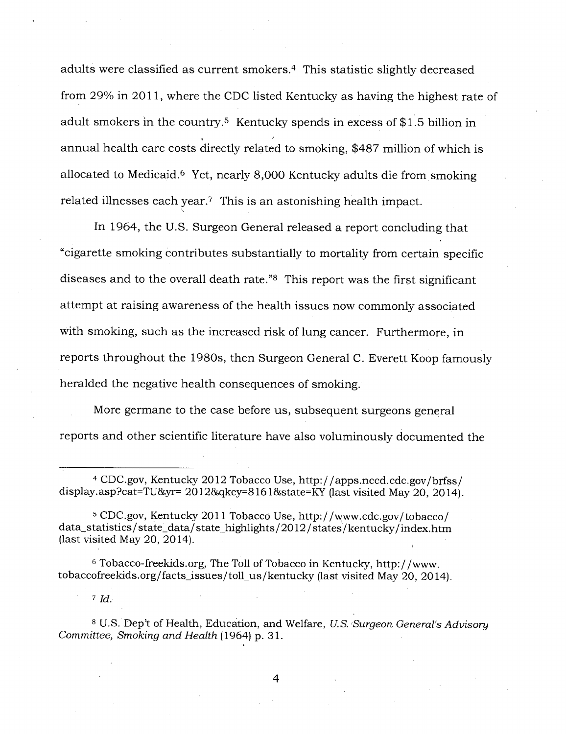adults were classified as current smokers.<sup>4</sup> This statistic slightly decreased from 29% in 2011, where the CDC listed Kentucky as having the highest rate of adult smokers in the country.<sup>5</sup> Kentucky spends in excess of \$1.5 billion in annual health care costs directly related to smoking, \$487 million of which is allocated to Medicaid.<sup>6</sup> Yet, nearly 8,000 Kentucky adults die from smoking related illnesses each year.? This is an astonishing health impact.

In 1964, the U.S. Surgeon General released a report concluding that "cigarette smoking contributes substantially to mortality from certain specific diseases and to the overall death rate.<sup>"8</sup> This report was the first significant attempt at raising awareness of the health issues now commonly associated with smoking, such as the increased risk of lung cancer. Furthermore, in reports throughout the 1980s, then Surgeon General C. Everett Koop famously heralded the negative health consequences of smoking.

More germane to the case before us, subsequent surgeons general reports and other scientific literature have also voluminously documented the

<sup>5</sup>CDC.gov , Kentucky 2011 Tobacco Use, http://www.cdc.gov/tobacco/ data\_statistics / state data/state\_highlights/2012/states/kentucky/index.htm (last visited May 20, 2014).

<sup>6</sup>Tobacco-freekids.org, The Toll of Tobacco in Kentucky, http://www. tobaccofreekids.org/facts\_issues/toll\_us/kentucky (last visited May 20, 2014).

<sup>7</sup>*Id.* 

<sup>8</sup>U.S. Dep't of Health, Education, and Welfare, *U.S. Surgeon General's Advisory Committee, Smoking and Health* (1964) p. 31.

<sup>4</sup>CDC.gov , Kentucky 2012 Tobacco Use, http://apps.nccd.cdc.gov/brfss/ display.asp?cat=TU&yr=  $20128$ gkey= $81618$ state=KY (last visited May 20, 2014).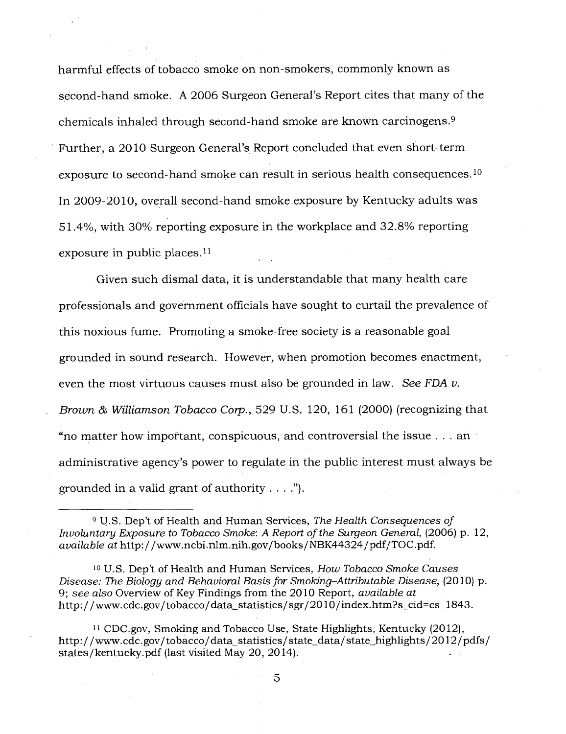harmful effects of tobacco smoke on non-smokers, commonly known as second-hand smoke. A 2006 Surgeon General's Report cites that many of the chemicals inhaled through second-hand smoke are known carcinogens. <sup>9</sup> Further, a 2010 Surgeon General's Report concluded that even short-term exposure to second-hand smoke can result in serious health consequences.<sup>10</sup> In 2009-2010, overall second-hand smoke exposure by Kentucky adults was 51.4%, with 30% reporting exposure in the workplace and 32.8% reporting exposure in public places. $11$ 

Given such dismal data, it is understandable that many health care professionals and government officials have sought to curtail the prevalence of this noxious fume. Promoting a smoke-free society is a reasonable goal grounded in sound research. However, when promotion becomes enactment, even the most virtuous causes must also be grounded in law. *See FDA v. Brown & Williamson Tobacco Corp.,* 529 U.S. 120, 161 (2000) (recognizing that "no matter how important, conspicuous, and controversial the issue . . . an administrative agency's power to regulate in the public interest must always be grounded in a valid grant of authority . . . .").

<sup>9</sup>U.S. Dep't of Health and Human Services, *The Health Consequences of Involuntary Exposure to Tobacco Smoke: A Report of the Surgeon General, (2006) p. 12, available at* http: / / www.ncbi. nlm. nih. gov/ books/ NBK44324 /pdf/TOC.pdf.

<sup>10</sup>U.S. Dep't of Health and Human Services, *How Tobacco Smoke Causes Disease: The Biology and Behavioral Basis for Smoking-Attributable Disease, (2010) p.* 9; *see also* Overview of Key Findings from the 2010 Report, *available at*  http://www.cdc.gov/tobacco/data\_statistics/sgr/2010/index.htm?s\_cid=cs\_1843.

<sup>11</sup>CDC.gov, Smoking and Tobacco Use, State Highlights, Kentucky (2012), http://www.cdc.gov/tobacco/data\_statistics/state\_data/state\_highlights/2012/pdfs/ states/kentucky.pdf (last visited May 20, 2014).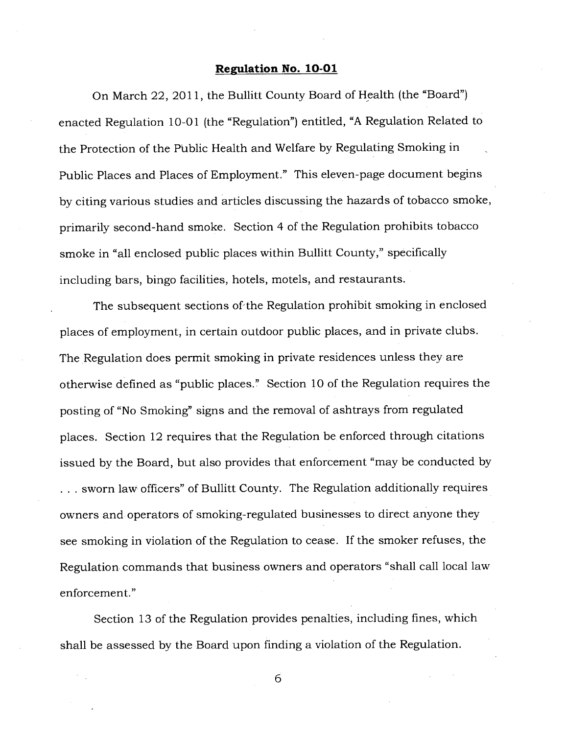#### **Regulation No. 10-01**

On March 22, 2011, the Bullitt County Board of Health (the "Board") enacted Regulation 10-01 (the "Regulation") entitled, "A Regulation Related to the Protection of the Public Health and Welfare by Regulating Smoking in Public Places and Places of Employment." This eleven-page document begins by citing various studies and articles discussing the hazards of tobacco smoke, primarily second-hand smoke. Section 4 of the Regulation prohibits tobacco smoke in "all enclosed public places within Bullitt County," specifically including bars, bingo facilities, hotels, motels, and restaurants.

The subsequent sections of the Regulation prohibit smoking in enclosed places of employment, in certain outdoor public places, and in private clubs. The Regulation does permit smoking in private residences unless they are otherwise defined as "public places." Section 10 of the Regulation requires the posting of "No Smoking" signs and the removal of ashtrays from regulated places. Section 12 requires that the Regulation be, enforced through citations issued by the Board, but also provides that enforcement "may be conducted by . . . sworn law officers" of Bullitt County. The Regulation additionally requires owners and operators of smoking-regulated businesses to direct anyone they see smoking in violation of the Regulation to cease. If the smoker refuses, the Regulation commands that business owners and operators "shall call local law enforcement."

Section 13 of the Regulation provides penalties, including fines, which shall be assessed by the Board upon finding a violation of the Regulation.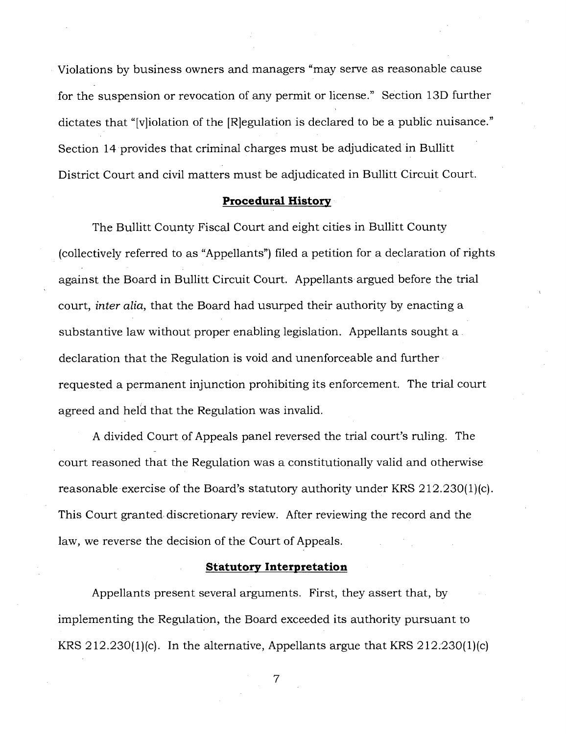Violations by business owners and managers "may serve as reasonable cause for the suspension or revocation of any permit or license." Section 13D further dictates that "[v]iolation of the [R]egulation is declared to be a public nuisance." Section 14 provides that criminal charges must be adjudicated in Bullitt District Court and civil matters must be adjudicated in Bullitt Circuit Court.

## **Procedural History**

The Bullitt County Fiscal Court and eight cities in Bullitt County (collectively referred to as "Appellants") filed a petition for a declaration of rights against the Board in Bullitt Circuit Court. Appellants argued before the trial court, *inter alia,* that the Board had usurped their authority by enacting a substantive law without proper enabling legislation. Appellants sought a declaration that the Regulation is void and unenforceable and further requested a permanent injunction prohibiting its enforcement. The trial court agreed and held that the Regulation was invalid.

A divided Court of Appeals panel reversed the trial court's ruling. The court reasoned that the Regulation was a constitutionally valid and otherwise reasonable exercise of the Board's statutory authority under KRS 212.230(1)(c). This Court granted discretionary review. After reviewing the record and the law, we reverse the decision of the Court of Appeals.

## **Statutory Interpretation**

Appellants present several arguments. First, they assert that, by implementing the Regulation, the Board exceeded its authority pursuant to KRS 212.230(1)(c). In the alternative, Appellants argue that KRS 212.230(1)(c)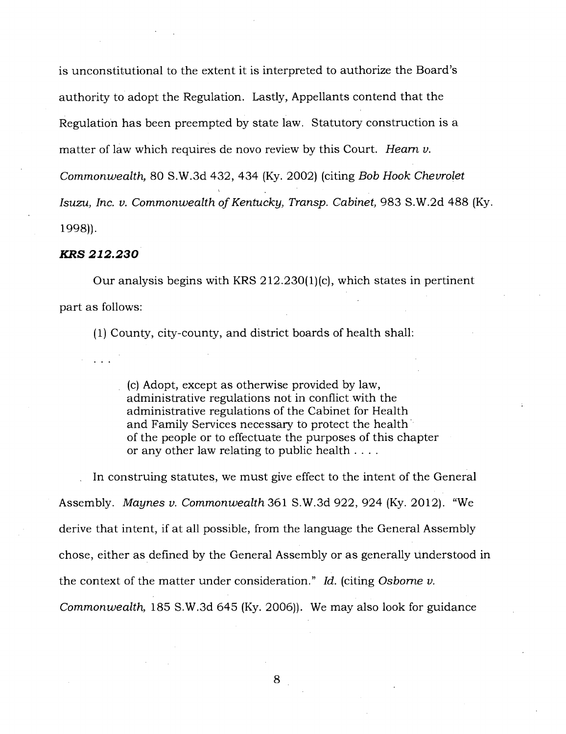is unconstitutional to the extent it is interpreted to authorize the Board's authority to adopt the Regulation. Lastly, Appellants contend that the Regulation has been preempted by state law. Statutory construction is a matter of law which requires de novo review by this Court. *Hearn v. Commonwealth,* 80 S.W.3d 432, 434 (Ky. 2002) (citing *Bob Hook Chevrolet Isuzu, Inc. v. Commonwealth of Kentucky, Transp. Cabinet,* 983 S.W.2d 488 (Ky. 1998)).

## *KRS 212.230*

Our analysis begins with KRS 212.230(1)(c), which states in pertinent part as follows:

(1) County, city-county, and district boards of health shall:

(c) Adopt, except as otherwise provided by law, administrative regulations not in conflict with the administrative regulations of the Cabinet for Health and Family Services necessary to protect the health of the people or to effectuate the purposes of this chapter or any other law relating to public health . . . .

In construing statutes, we must give effect to the intent of the General Assembly. *Maynes v. Commonwealth* 361 S.W.3d 922, 924 (Ky. 2012). "We derive that intent, if at all possible, from the language the General Assembly chose, either as defined by the General Assembly or as generally understood in the context of the matter under consideration." *Id.* (citing *Osborne v. Commonwealth,* 185 S.W.3d 645 (Ky. 2006)). We may also look for guidance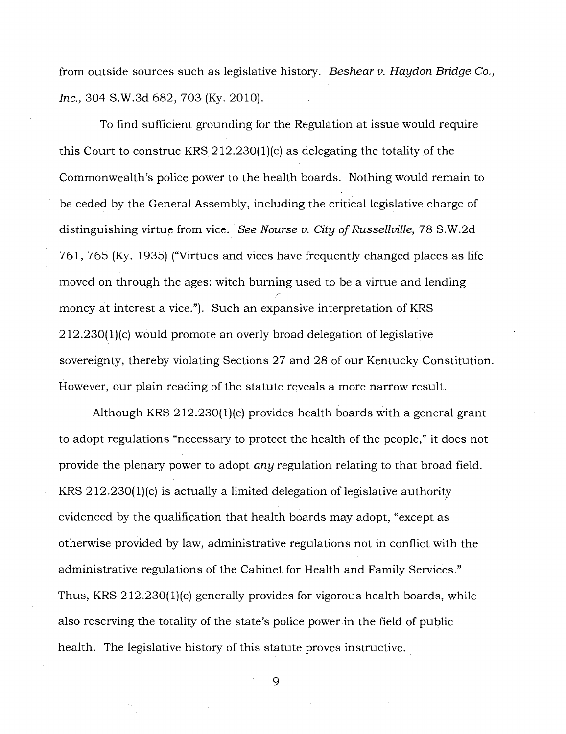from outside sources such as legislative history. *Beshear v. Haydon Bridge Co., Inc.,* 304 S.W.3d 682, 703 (Ky. 2010).

To find sufficient grounding for the Regulation at issue would require this Court to construe KRS 212.230(1)(c) as delegating the totality of the Commonwealth's police power to the health boards. Nothing would remain to be ceded by the General Assembly, including the critical legislative charge of distinguishing virtue from vice. *See Nourse v. City of Russellville,* 78 S.W.2d 761, 765 (Ky. 1935) ("Virtues and vices have frequently changed places as life moved on through the ages: witch burning used to be a virtue and lending money at interest a vice."). Such an expansive interpretation of KRS 212.230(1)(c) would promote an overly broad delegation of legislative sovereignty, thereby violating Sections 27 and 28 of our Kentucky Constitution. However, our plain reading of the statute reveals a more narrow result.

Although KRS 212.230(1)(c) provides health boards with a general grant to adopt regulations "necessary to protect the health of the people," it does not provide the plenary power to adopt any regulation relating to that broad field. KRS 212.230(1)(c) is actually a limited delegation of legislative authority evidenced by the qualification that health boards may adopt, "except as otherwise provided by law, administrative regulations not in conflict with the administrative regulations of the Cabinet for Health and Family Services." Thus, KRS 212.230(1)(c) generally provides for vigorous health boards, while also reserving the totality of the state's police power in the field of public health. The legislative history of this statute proves instructive.

 $\mathbf Q$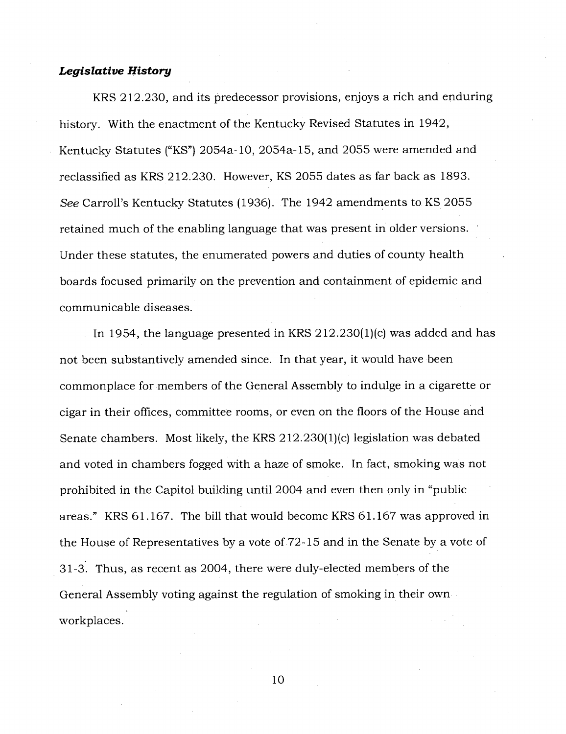## *Legislative History*

KRS 212.230, and its predecessor provisions, enjoys a rich and enduring history. With the enactment of the Kentucky Revised Statutes in 1942, Kentucky Statutes ("KS") 2054a-10, 2054a-15, and 2055 were amended and reclassified as KRS 212.230. However, KS 2055 dates as far back as 1893. *See* Carroll's Kentucky Statutes (1936). The 1942 amendments to. KS 2055 retained much of the enabling language that was present in older versions. Under these statutes, the enumerated powers and duties of county health boards focused primarily on the prevention and containment of epidemic and communicable diseases.

In 1954, the language presented in KRS  $212.230(1)(c)$  was added and has not been substantively amended since. In that year, it would have been commonplace for members of the General Assembly to indulge in a cigarette or cigar in their offices, committee rooms, or even on the floors of the House and Senate chambers. Most likely, the KRS 212.230(1)(c) legislation was debated and voted in chambers fogged with a haze of smoke. In fact, smoking was not prohibited in the Capitol building until 2004 and even then only in "public areas." KRS 61.167. The bill that would become KRS 61.167 was approved in the House of Representatives by a vote of 72-15 and in the Senate by a vote of 31-3. Thus, as recent as 2004, there were duly-elected members of the General Assembly voting against the regulation of smoking in their own workplaces.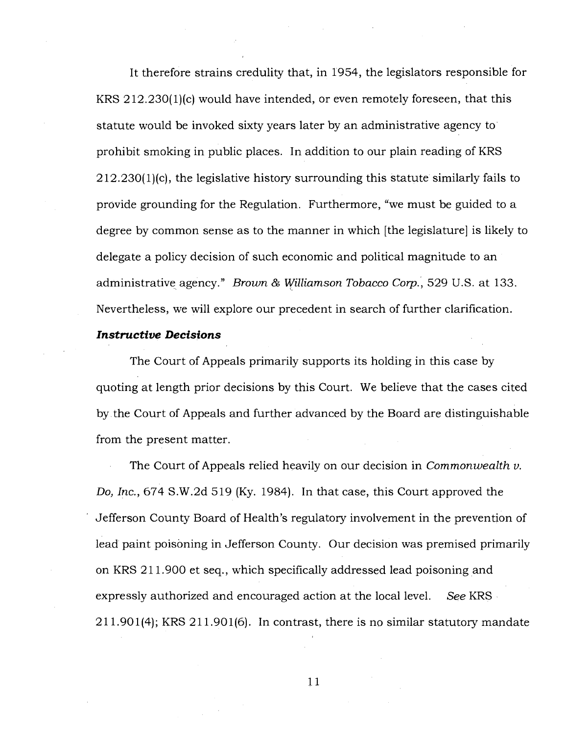It therefore strains credulity that, in 1954, the legislators responsible for KRS 212.230(1)(c) would have intended, or even remotely foreseen, that this statute would be invoked sixty years later by an administrative agency to prohibit smoking in public places. In addition to our plain reading of KRS  $212.230(1)$ (c), the legislative history surrounding this statute similarly fails to provide grounding for the Regulation. Furthermore, "we must be guided to a degree by common sense as to the manner in which [the legislature] is likely to delegate a policy decision of such economic and political magnitude to an administrative agency." *Brown & Williamson Tobacco Corp.,* 529 U.S. at 133. Nevertheless, we will explore our precedent in search of further clarification.

#### *Instructive Decisions*

The Court of Appeals primarily supports its holding in this case by quoting at length prior decisions by this Court. We believe that the cases cited by the Court of Appeals and further advanced by the Board are distinguishable from the present matter.

The Court of Appeals relied heavily on our decision in *Commonwealth v. Do, Inc.,* 674 S.W.2d 519 (Ky. 1984). In that case, this Court approved the Jefferson County Board of Health's regulatory involvement in the prevention of lead paint poisoning in Jefferson County. Our decision was premised primarily on KRS 211.900 et seq., which specifically addressed lead poisoning and expressly authorized and encouraged action at the local level. *See* KRS 211.901(4); KRS 211.901(6). In contrast, there is no similar statutory mandate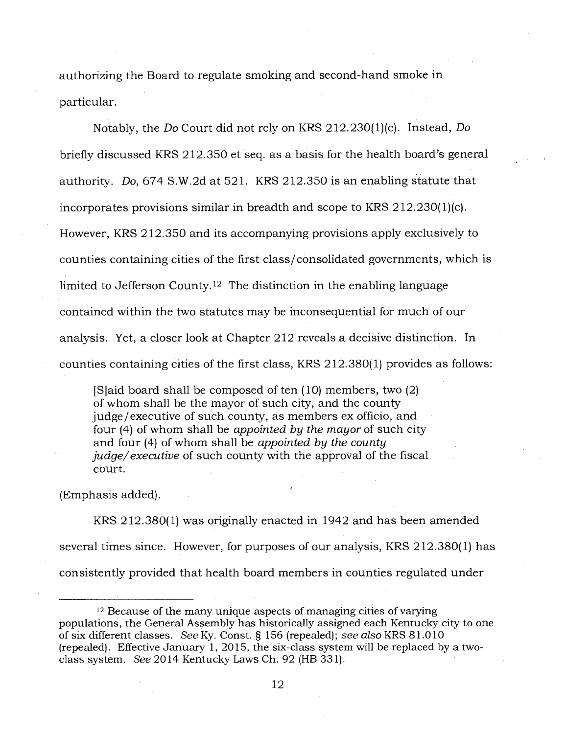authorizing the Board to regulate smoking and second-hand smoke in particular.

Notably, the *Do* Court did not rely on KRS 212.230(1)(c). Instead, *Do*  briefly discussed KRS 212.350 et seq. as a basis for the health board's general authority. *Do,* 674 S.W.2d at 521. KRS 212.350 is an enabling statute that incorporates provisions similar in breadth and scope to KRS 212.230(1)(c). However, KRS 212.350 and its accompanying provisions apply exclusively to counties containing cities of the first class/consolidated governments, which is limited to Jefferson County.<sup>12</sup> The distinction in the enabling language contained within the two statutes may be inconsequential for much of our analysis. Yet, a closer look at Chapter 212 reveals a decisive distinction. In counties containing cities of the first class, KRS 212.380(1) provides as follows:

[S]aid board shall be composed of ten (10) members, two (2) of whom shall be the mayor of such city, and the county judge/executive of such county, as members ex officio, and four (4) of whom shall be *appointed by the mayor* of such city and four (4) of whom shall be *appointed by the county judge/ executive* of such county with the approval of the fiscal court.

(Emphasis added).

KRS 212.380(1) was originally enacted in 1942 and has been amended several times since. However, for purposes of our analysis, KRS 212.380(1) has consistently provided that health board members in counties regulated under

<sup>&</sup>lt;sup>12</sup> Because of the many unique aspects of managing cities of varying populations, the General Assembly has historically assigned each Kentucky city to one of six different classes. *See* Ky. Const. § 156 (repealed); *see also* KRS 81.010 (repealed). Effective January 1, 2015, the six-class system will be replaced by a twoclass system. *See* 2014 Kentucky Laws Ch. 92 (HB 331).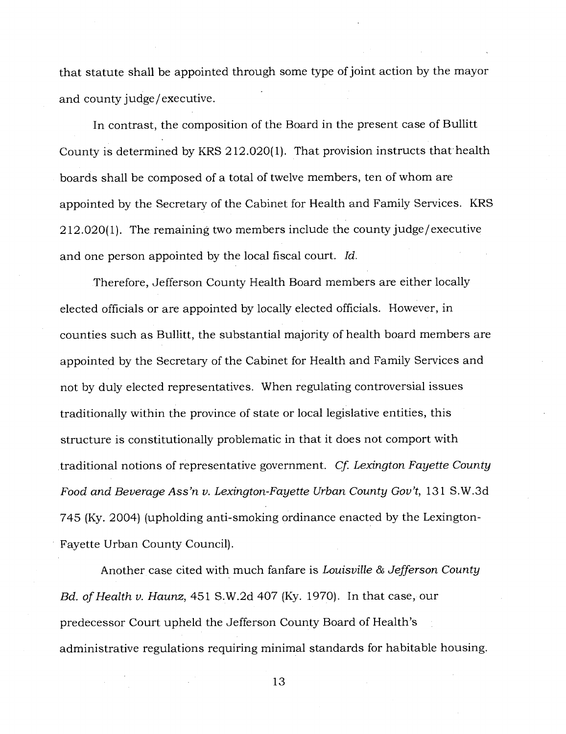that statute shall be appointed through some type of joint action by the mayor and county judge/executive.

In contrast, the composition of the Board in the present case of Bullitt County is determined by KRS 212.020(1). That provision instructs that health boards shall be composed of a total of twelve members, ten of whom are appointed by the Secretary of the Cabinet for Health and Family Services. KRS 212.020(1). The remaining two members include the county judge/executive and one person appointed by the local fiscal court. *Id.* 

Therefore, Jefferson County Health Board members are either locally elected officials or are appointed by locally elected officials. However, in counties such as Bullitt, the substantial majority of health board members are appointed by the Secretary of the Cabinet for Health and Family Services and not by duly elected representatives. When regulating controversial issues traditionally within the province of state or local legislative entities, this structure is constitutionally problematic in that it does not comport with traditional notions of representative government. *Cf. Lexington Fayette County Food and Beverage Ass'n v. Lexington-Fayette Urban County Gov't,* 131 S.W.3d 745 (Ky. 2004) (upholding anti-smoking ordinance enacted by the Lexington-Fayette Urban County Council).

Another case cited with much fanfare is *Louisville & Jefferson County Bd. of Health v. Haunz,* 451 S.W.2d 407 (Ky. 1970). In that case, our predecessor Court upheld the Jefferson County Board of Health's administrative regulations requiring minimal standards for habitable housing.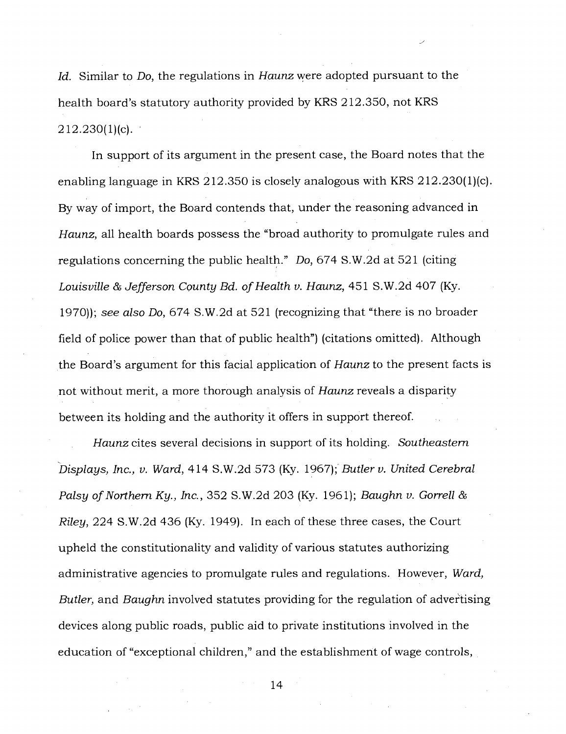*Id.* Similar to *Do,* the regulations in *Haunz* were adopted pursuant to the health board's statutory authority provided by KRS 212.350, not KRS  $212.230(1)(c)$ .

In support of its argument in the present case, the Board notes that the enabling language in KRS 212.350 is closely analogous with KRS 212.230(1)(c). By way of import, the Board contends that, under the reasoning advanced in *Haunz,* all health boards possess the "broad authority to promulgate rules and regulations concerning the public health." *Do,* 674 S.W.2d at 521 (citing *Louisville & Jefferson County Bd. of Health v. Haunz,* 451 S.W.2d 407 (Ky. 1970)); *see also Do,* 674 S.W.2d at 521 (recognizing that "there is no broader field of police power than that of public health") (citations omitted). Although the Board's argument for this facial application of *Haunz* to the present facts is not without merit, a more thorough analysis of *Haunz* reveals a disparity between its holding and the authority it offers in support thereof.

*Haunz* cites several decisions in support of its holding. *Southeastern Displays, Inc., v. Ward,* 414 S.W.2d 573 (Ky. 1967); *Butler v. United Cerebral Palsy of Northern Ky., Inc.,* 352 S.W.2d 203 (Ky. 1961); *Baughn v. Gorrell & Riley,* 224 S.W.2d 436 (Ky. 1949). In each of these three cases, the Court upheld the constitutionality and validity of various statutes authorizing administrative agencies to promulgate rules and regulations. However, *Ward, Butler,* and *Baughn* involved statutes providing for the regulation of advertising devices along public roads, public aid to private institutions involved in the education of "exceptional children," and the establishment of wage controls,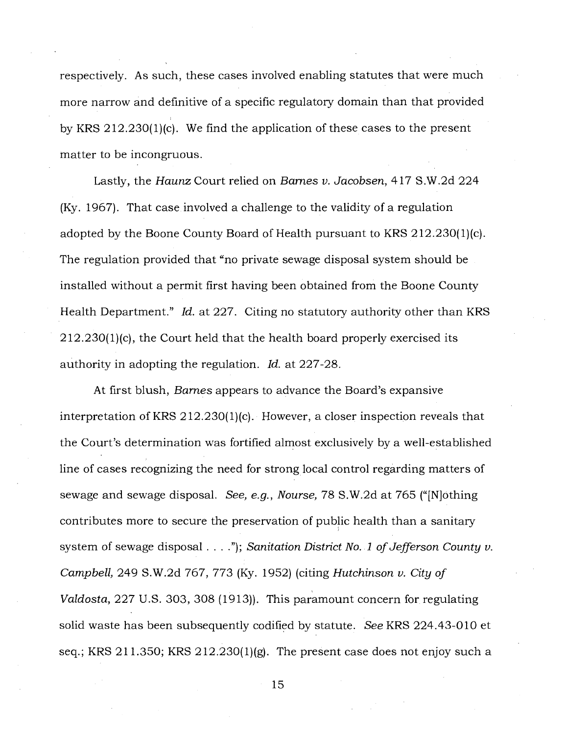respectively. As such, these cases involved enabling statutes that were much more narrow and definitive of a specific regulatory domain than that provided by KRS 212.230(1)(c). We find the application of these cases to the present matter to be incongruous.

Lastly, the Haunz Court relied on *Barnes v. Jacobsen,* 417 S.W.2d 224 (Ky. 1967). That case involved a challenge to the validity of a regulation adopted by the Boone County Board of Health pursuant to KRS 212.230(1)(c). The regulation provided that "no private sewage disposal system should be installed without a permit first having been obtained from the Boone County Health Department." *Id.* at 227. Citing no statutory authority other than KRS  $212.230(1)$ (c), the Court held that the health board properly exercised its authority in adopting the regulation. *Id.* at 227-28.

At first blush, *Barnes* appears to advance the Board's expansive interpretation of KRS 212.230(1)(c). However, a closer inspection reveals that the Court's determination was fortified almost exclusively by a well-established line of cases recognizing the need for strong local control regarding matters of sewage and sewage disposal. *See, e.g., Nourse,* 78 S.W.2d at 765 ("[N]othing contributes more to secure the preservation of public health than a sanitary system of sewage disposal . . . ."); *Sanitation District No. 1 of Jefferson County v. Campbell,* 249 S.W.2d 767, 773 (Ky. 1952) (citing *Hutchinson v. City of Valdosta,* 227 U.S. 303, 308 (1913)). This paramount concern for regulating solid waste has been subsequently codified by statute. *See* KRS 224.43-010 et seq.; KRS 211.350; KRS 212.230(1)(g). The present case does not enjoy such a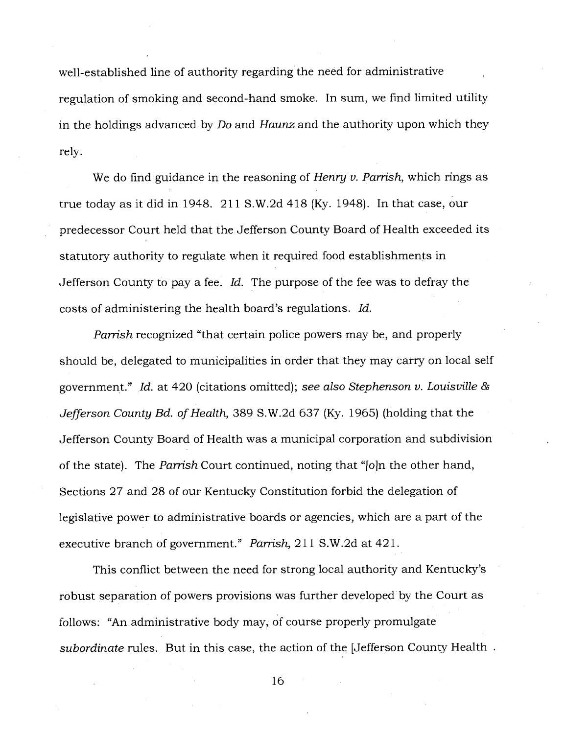well-established line of authority regarding the need for administrative regulation of smoking and second-hand smoke. In sum, we find limited utility in the holdings advanced by *Do* and *Haunz* and the authority upon which they rely.

We do find guidance in the reasoning of *Henry v. Parrish,* which rings as true today as it did in 1948. 211 S.W.2d 418 (Ky. 1948). In that case, our predecessor Court held that the Jefferson County Board of Health exceeded its statutory authority to regulate when it required food establishments in Jefferson County to pay a fee. *Id.* The purpose of the fee was to defray the costs of administering the health board's regulations. *Id.* 

*Parrish* recognized "that certain police powers may be, and properly should be, delegated to municipalities in order that they may carry on local self government." *Id.* at 420 (citations omitted); *see also Stephenson v. Louisville & Jefferson County Bd. of Health,* 389 S.W.2d 637 (Ky. 1965) (holding that the Jefferson County Board of Health was a municipal corporation and subdivision of the state). The *Parrish* Court continued, noting that "[o]n the other hand, Sections 27 and 28 of our Kentucky Constitution forbid the delegation of legislative power to administrative boards or agencies, which are a part of the executive branch of government." *Parrish,* 211 S.W.2d at 421.

This conflict between the need for strong local authority and Kentucky's robust separation of powers provisions was further developed by the Court as follows: "An administrative body may, of course properly promulgate *subordinate* rules. But in this case, the action of the [Jefferson County Health .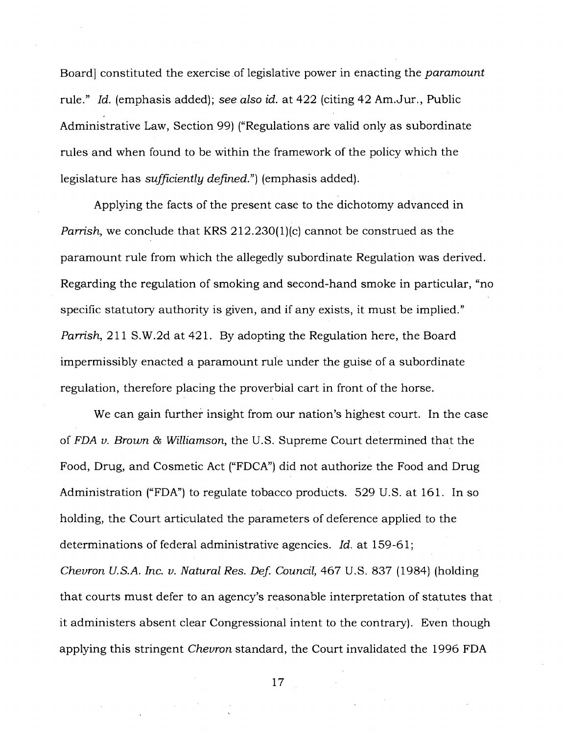Board] constituted the exercise of legislative power in enacting the *paramount*  rule." *Id.* (emphasis added); *see also id.* at 422 (citing 42 Am.Jur., Public Administrative Law, Section 99) ("Regulations are valid only as subordinate rules and when found to be within the framework of the policy which the legislature has *sufficiently defined.")* (emphasis added).

Applying the facts of the present case to the dichotomy advanced in *Parrish,* we conclude that KRS 212.230(1)(c) cannot be construed as the paramount rule from which the allegedly subordinate Regulation was derived. Regarding the regulation of smoking and second-hand smoke in particular, "no specific statutory authority is given, and if any exists, it must be implied." *Parrish,* 211 S.W.2d at 421. By adopting the Regulation here, the Board impermissibly enacted a paramount rule under the guise of a subordinate regulation, therefore placing the proverbial cart in front of the horse.

We can gain further insight from our nation's highest court. In the case of *FDA v. Brown & Williamson,* the U.S. Supreme Court determined that the Food, Drug, and Cosmetic Act ("FDCA") did not authorize the Food and Drug Administration ("FDA") to regulate tobacco products. 529 U.S. at 161. In so holding, the Court articulated the parameters of deference applied to the determinations of federal administrative agencies. *Id.* at 159-61;

*Chevron U.S.A. Inc. v. Natural Res. Def. Council,* 467 U.S. 837 (1984) (holding that courts must defer to an agency's reasonable interpretation of statutes that it administers absent clear Congressional intent to the contrary). Even though applying this stringent *Chevron* standard, the Court invalidated the 1996 FDA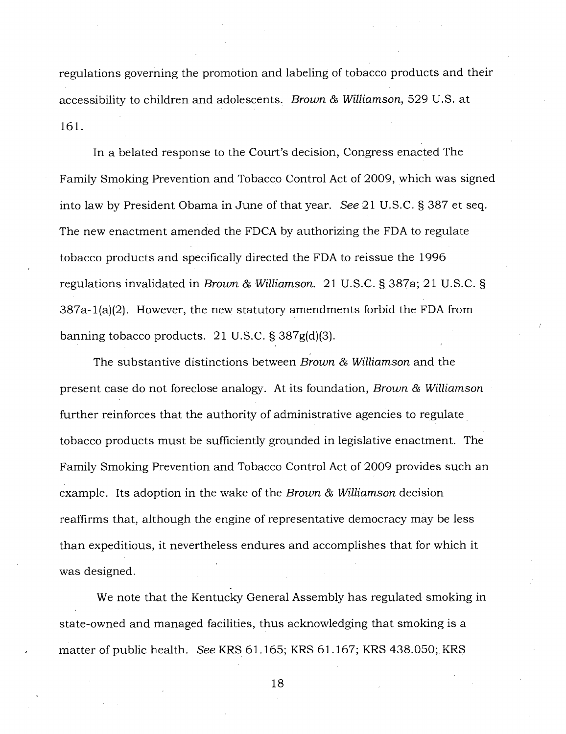regulations governing the promotion and labeling of tobacco products and their accessibility to children and adolescents. *Brown & Williamson,* 529 U.S. at 161.

In a belated response to the Court's decision, Congress enacted The Family Smoking Prevention and Tobacco Control Act of 2009, which was signed into law by President Obama in June of that year. *See* 21 U.S.C. § 387 et seq. The new enactment amended the FDCA by authorizing the FDA to regulate tobacco products and specifically directed the FDA to reissue the 1996 regulations invalidated in *Brown & Williamson.* 21 U.S.C. § 387a; 21 U.S.C. § 387a-1(a)(2). However, the new statutory amendments forbid the FDA from banning tobacco products. 21 U.S.C. § 387g(d)(3).

The substantive distinctions between *Brown & Williamson* and the present case do not foreclose analogy. At its foundation, *Brown & Williamson*  further reinforces that the authority of administrative agencies to regulate tobacco products must be sufficiently grounded in legislative enactment. The Family Smoking Prevention and Tobacco Control Act of 2009 provides such an example. Its adoption in the wake of the *Brown & Williamson* decision reaffirms that, although the engine of representative democracy may be less than expeditious, it nevertheless endures and accomplishes that for which it was designed.

We note that the Kentucky General Assembly has regulated smoking in state-owned and managed facilities, thus acknowledging that smoking is a matter of public health. *See* KRS 61.165; KRS 61.167; KRS 438.050; KRS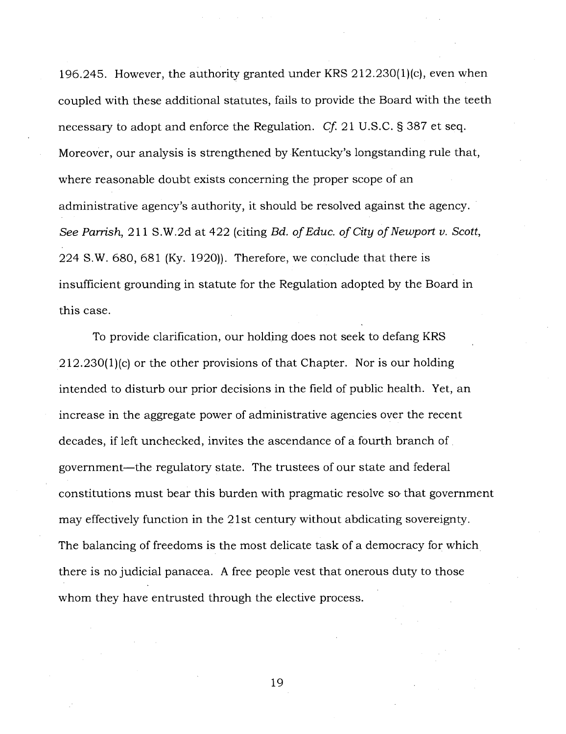196.245. However, the authority granted under KRS 212.230(1)(c), even when coupled with these additional statutes, fails to provide the Board with the teeth necessary to adopt and enforce the Regulation. *Cf.* 21 U.S.C. § 387 et seq. Moreover, our analysis is strengthened by Kentucky's longstanding rule that, where reasonable doubt exists concerning the proper scope of an administrative agency's authority, it should be resolved against the agency. *See Parrish,* 211 S.W.2d at 422 (citing *Bd. of Educ. of City of Newport v. Scott,*  224 S.W. 680, 681 (Ky. 1920)). Therefore, we conclude that there is insufficient grounding in statute for the Regulation adopted by the Board in this case.

To provide clarification, our holding does not seek to defang KRS 212.230(1)(c) or the other provisions of that Chapter. Nor is our holding intended to disturb our prior decisions in the field of public health. Yet, an increase in the aggregate power of administrative agencies over the recent decades, if left unchecked, invites the ascendance of a fourth branch of government—the regulatory state. The trustees of our state and federal constitutions must bear this burden with pragmatic resolve so. that government may effectively function in the 21st century without abdicating sovereignty. The balancing of freedoms is the most delicate task of a democracy for which there is no judicial panacea. A free people vest that onerous duty to those whom they have entrusted through the elective process.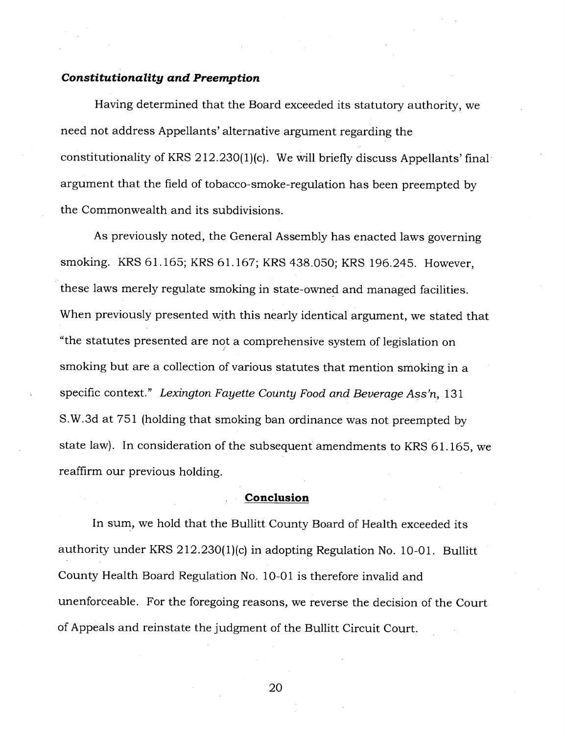# *Constitutionality and Preemption*

Having determined that the Board exceeded its statutory authority, we need not address Appellants' alternative argument regarding the constitutionality of KRS 212.230(1)(c). We will briefly discuss Appellants' final argument that the field of tobacco-smoke-regulation has been preempted by the Commonwealth and its subdivisions.

As previously noted, the General Assembly has enacted laws governing smoking. KRS 61.165; KRS 61.167; KRS 438.050; KRS 196.245. However, these laws merely regulate smoking in state-owned and managed facilities. When previously presented with this nearly identical argument, we stated that "the statutes presented are not a comprehensive system of legislation on smoking but are a collection of various statutes that mention smoking in a specific context." *Lexington Fayette County Food and Beverage Ass'n,* 131 S.W.3d at 751 (holding that smoking ban ordinance was not preempted by state law). In consideration of the subsequent amendments to KRS 61.165, we reaffirm our previous holding.

#### **Conclusion**

In sum, we hold that the Bullitt County Board of Health exceeded its authority under KRS 212.230(1)(c) in adopting Regulation No. 10-01. Bullitt County Health Board Regulation No. 10-01 is therefore invalid and unenforceable. For the foregoing reasons, we reverse the decision of the Court of Appeals and reinstate the judgment of the Bullitt Circuit Court.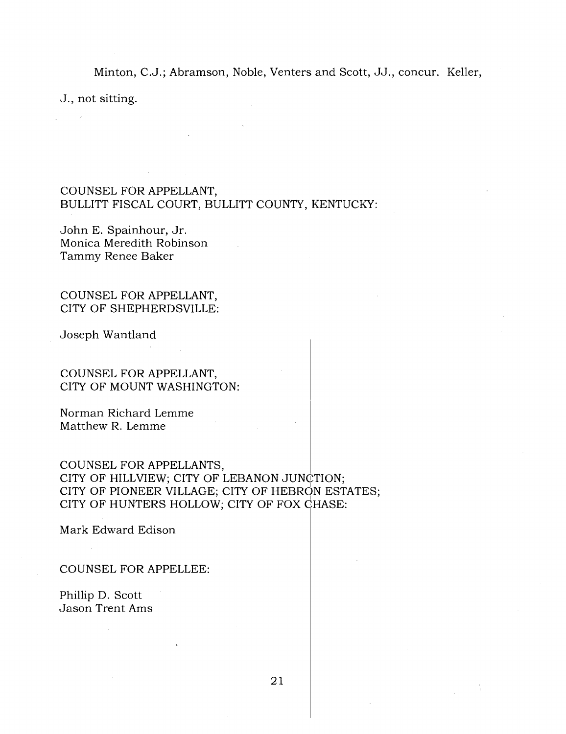Minton, C.J.; Abramson, Noble, Venters and Scott, JJ., concur. Keller,

J., not sitting.

# COUNSEL FOR APPELLANT, BULLITT FISCAL COURT, BULLITT COUNTY, KENTUCKY:

John E. Spainhour, Jr. Monica Meredith Robinson Tammy Renee Baker

COUNSEL FOR APPELLANT, CITY OF SHEPHERDSVILLE:

Joseph Wantland

COUNSEL FOR APPELLANT, CITY OF MOUNT WASHINGTON:

Norman Richard Lemme Matthew R. Lemme

COUNSEL FOR APPELLANTS, CITY OF HILLVIEW; CITY OF LEBANON JUNCTION; CITY OF PIONEER VILLAGE; CITY OF HEBRON ESTATES; CITY OF HUNTERS HOLLOW; CITY OF FOX CHASE:

Mark Edward Edison

COUNSEL FOR APPELLEE:

Phillip D. Scott Jason Trent Ams